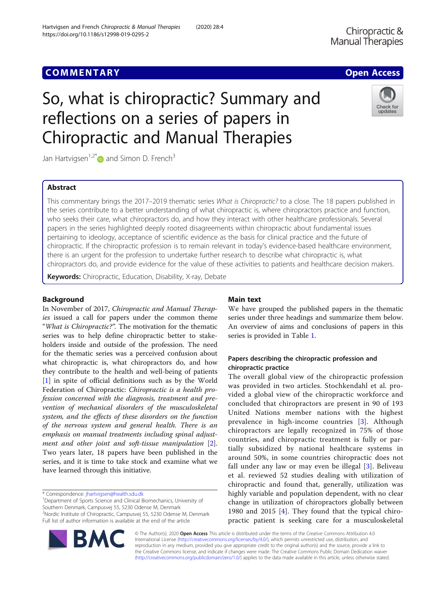## **COMMENTARY COMMENTARY COMMENTARY**

# So, what is chiropractic? Summary and reflections on a series of papers in Chiropractic and Manual Therapies

Jan Hartvigsen<sup>1,2\*</sup> and Simon D. French<sup>3</sup>

## Abstract

This commentary brings the 2017–2019 thematic series What is Chiropractic? to a close. The 18 papers published in the series contribute to a better understanding of what chiropractic is, where chiropractors practice and function, who seeks their care, what chiropractors do, and how they interact with other healthcare professionals. Several papers in the series highlighted deeply rooted disagreements within chiropractic about fundamental issues pertaining to ideology, acceptance of scientific evidence as the basis for clinical practice and the future of chiropractic. If the chiropractic profession is to remain relevant in today's evidence-based healthcare environment, there is an urgent for the profession to undertake further research to describe what chiropractic is, what chiropractors do, and provide evidence for the value of these activities to patients and healthcare decision makers.

Keywords: Chiropractic, Education, Disability, X-ray, Debate

## Background

In November of 2017, Chiropractic and Manual Therapies issued a call for papers under the common theme "What is Chiropractic?". The motivation for the thematic series was to help define chiropractic better to stakeholders inside and outside of the profession. The need for the thematic series was a perceived confusion about what chiropractic is, what chiropractors do, and how they contribute to the health and well-being of patients [[1\]](#page-5-0) in spite of official definitions such as by the World Federation of Chiropractic: Chiropractic is a health profession concerned with the diagnosis, treatment and prevention of mechanical disorders of the musculoskeletal system, and the effects of these disorders on the function of the nervous system and general health. There is an emphasis on manual treatments including spinal adjustment and other joint and soft-tissue manipulation [\[2](#page-5-0)]. Two years later, 18 papers have been published in the series, and it is time to take stock and examine what we have learned through this initiative.

\* Correspondence: [jhartvigsen@health.sdu.dk](mailto:jhartvigsen@health.sdu.dk) <sup>1</sup>

<sup>1</sup>Department of Sports Science and Clinical Biomechanics, University of Southern Denmark, Campusvej 55, 5230 Odense M, Denmark 2 Nordic Institute of Chiropractic, Campusvej 55, 5230 Odense M, Denmark Full list of author information is available at the end of the article

## Main text

We have grouped the published papers in the thematic series under three headings and summarize them below. An overview of aims and conclusions of papers in this series is provided in Table [1](#page-1-0).

## Papers describing the chiropractic profession and chiropractic practice

The overall global view of the chiropractic profession was provided in two articles. Stochkendahl et al. provided a global view of the chiropractic workforce and concluded that chiropractors are present in 90 of 193 United Nations member nations with the highest prevalence in high-income countries [\[3](#page-5-0)]. Although chiropractors are legally recognized in 75% of those countries, and chiropractic treatment is fully or partially subsidized by national healthcare systems in around 50%, in some countries chiropractic does not fall under any law or may even be illegal [[3](#page-5-0)]. Beliveau et al. reviewed 52 studies dealing with utilization of chiropractic and found that, generally, utilization was highly variable and population dependent, with no clear change in utilization of chiropractors globally between 1980 and 2015 [[4\]](#page-5-0). They found that the typical chiropractic patient is seeking care for a musculoskeletal

© The Author(s). 2020 Open Access This article is distributed under the terms of the Creative Commons Attribution 4.0 International License [\(http://creativecommons.org/licenses/by/4.0/](http://creativecommons.org/licenses/by/4.0/)), which permits unrestricted use, distribution, and reproduction in any medium, provided you give appropriate credit to the original author(s) and the source, provide a link to the Creative Commons license, and indicate if changes were made. The Creative Commons Public Domain Dedication waiver [\(http://creativecommons.org/publicdomain/zero/1.0/](http://creativecommons.org/publicdomain/zero/1.0/)) applies to the data made available in this article, unless otherwise stated.





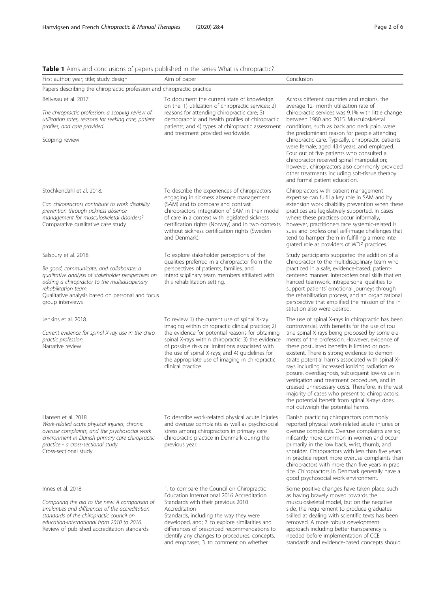<span id="page-1-0"></span>

| <b>Table 1</b> Aims and conclusions of papers published in the series What is chiropractic? |  |  |  |  |  |
|---------------------------------------------------------------------------------------------|--|--|--|--|--|
|---------------------------------------------------------------------------------------------|--|--|--|--|--|

| <b>Table</b> I millis and conclusions or papers published in the series viriatis chilopractic:                                                                                                                                                                             |                                                                                                                                                                                                                                                                                                                                                                                            |                                                                                                                                                                                                                                                                                                                                                                                                                                                                                                                                                                                                                                                                                                             |  |  |  |
|----------------------------------------------------------------------------------------------------------------------------------------------------------------------------------------------------------------------------------------------------------------------------|--------------------------------------------------------------------------------------------------------------------------------------------------------------------------------------------------------------------------------------------------------------------------------------------------------------------------------------------------------------------------------------------|-------------------------------------------------------------------------------------------------------------------------------------------------------------------------------------------------------------------------------------------------------------------------------------------------------------------------------------------------------------------------------------------------------------------------------------------------------------------------------------------------------------------------------------------------------------------------------------------------------------------------------------------------------------------------------------------------------------|--|--|--|
| First author; year; title; study design                                                                                                                                                                                                                                    | Aim of paper                                                                                                                                                                                                                                                                                                                                                                               | Conclusion                                                                                                                                                                                                                                                                                                                                                                                                                                                                                                                                                                                                                                                                                                  |  |  |  |
| Papers describing the chiropractic profession and chiropractic practice                                                                                                                                                                                                    |                                                                                                                                                                                                                                                                                                                                                                                            |                                                                                                                                                                                                                                                                                                                                                                                                                                                                                                                                                                                                                                                                                                             |  |  |  |
| Beliveau et al. 2017.<br>The chiropractic profession: a scoping review of<br>utilization rates, reasons for seeking care, patient<br>profiles, and care provided.<br>Scoping review                                                                                        | To document the current state of knowledge<br>on the: 1) utilization of chiropractic services; 2)<br>reasons for attending chiropractic care; 3)<br>demographic and health profiles of chiropractic<br>patients; and 4) types of chiropractic assessment<br>and treatment provided worldwide.                                                                                              | Across different countries and regions, the<br>average 12- month utilization rate of<br>chiropractic services was 9.1% with little change<br>between 1980 and 2015. Musculoskeletal<br>conditions, such as back and neck pain, were<br>the predominant reason for people attending<br>chiropractic care. Typically, chiropractic patients<br>were female, aged 43.4 years, and employed.<br>Four out of five patients who consulted a<br>chiropractor received spinal manipulation;<br>however, chiropractors also commonly provided<br>other treatments including soft-tissue therapy<br>and formal patient education.                                                                                     |  |  |  |
| Stochkendahl et al. 2018.<br>Can chiropractors contribute to work disability<br>prevention through sickness absence<br>management for musculoskeletal disorders?<br>Comparative qualitative case study                                                                     | To describe the experiences of chiropractors<br>engaging in sickness absence management<br>(SAM) and to compare and contrast<br>chiropractors' integration of SAM in their model<br>of care in a context with legislated sickness<br>certification rights (Norway) and in two contexts<br>without sickness certification rights (Sweden<br>and Denmark).                                   | Chiropractors with patient management<br>expertise can fulfil a key role in SAM and by<br>extension work disability prevention when these<br>practices are legislatively supported. In cases<br>where these practices occur informally,<br>however, practitioners face systemic-related is<br>sues and professional self-image challenges that<br>tend to hamper them in fulfilling a more inte<br>grated role as providers of WDP practices.                                                                                                                                                                                                                                                               |  |  |  |
| Salsbury et al. 2018.<br>Be good, communicate, and collaborate: a<br>qualitative analysis of stakeholder perspectives on<br>adding a chiropractor to the multidisciplinary<br>rehabilitation team.<br>Qualitative analysis based on personal and focus<br>group interviews | To explore stakeholder perceptions of the<br>qualities preferred in a chiropractor from the<br>perspectives of patients, families, and<br>interdisciplinary team members affiliated with<br>this rehabilitation setting.                                                                                                                                                                   | Study participants supported the addition of a<br>chiropractor to the multidisciplinary team who<br>practiced in a safe, evidence-based, patient-<br>centered manner. Interprofessional skills that en<br>hanced teamwork, intrapersonal qualities to<br>support patients' emotional journeys through<br>the rehabilitation process, and an organizational<br>perspective that amplified the mission of the in<br>stitution also were desired.                                                                                                                                                                                                                                                              |  |  |  |
| Jenkins et al. 2018.<br>Current evidence for spinal X-ray use in the chiro<br>practic profession.<br>Narrative review                                                                                                                                                      | To review 1) the current use of spinal X-ray<br>imaging within chiropractic clinical practice; 2)<br>the evidence for potential reasons for obtaining<br>spinal X-rays within chiropractic; 3) the evidence<br>of possible risks or limitations associated with<br>the use of spinal X-rays; and 4) guidelines for<br>the appropriate use of imaging in chiropractic<br>clinical practice. | The use of spinal X-rays in chiropractic has been<br>controversial, with benefits for the use of rou<br>tine spinal X-rays being proposed by some ele<br>ments of the profession. However, evidence of<br>these postulated benefits is limited or non-<br>existent. There is strong evidence to demon<br>strate potential harms associated with spinal X-<br>rays including increased ionizing radiation ex<br>posure, overdiagnosis, subsequent low-value in<br>vestigation and treatment procedures, and in<br>creased unnecessary costs. Therefore, in the vast<br>majority of cases who present to chiropractors,<br>the potential benefit from spinal X-rays does<br>not outweigh the potential harms. |  |  |  |
| Hansen et al. 2018<br>Work-related acute physical injuries, chronic<br>overuse complaints, and the psychosocial work<br>environment in Danish primary care chiropractic<br>practice - a cross-sectional study.<br>Cross-sectional study                                    | To describe work-related physical acute injuries<br>and overuse complaints as well as psychosocial<br>stress among chiropractors in primary care<br>chiropractic practice in Denmark during the<br>previous year.                                                                                                                                                                          | Danish practicing chiropractors commonly<br>reported physical work-related acute injuries or<br>overuse complaints. Overuse complaints are sig<br>nificantly more common in women and occur<br>primarily in the low back, wrist, thumb, and<br>shoulder. Chiropractors with less than five years<br>in practice report more overuse complaints than<br>chiropractors with more than five years in prac<br>tice. Chiropractors in Denmark generally have a<br>good psychosocial work environment.                                                                                                                                                                                                            |  |  |  |
| Innes et al. 2018<br>Comparing the old to the new: A comparison of<br>similarities and differences of the accreditation<br>standards of the chiropractic council on<br>education-international from 2010 to 2016.<br>Review of published accreditation standards           | 1. to compare the Council on Chiropractic<br>Education International 2016 Accreditation<br>Standards with their previous 2010<br>Accreditation<br>Standards, including the way they were<br>developed, and; 2. to explore similarities and<br>differences of prescribed recommendations to<br>identify any changes to procedures, concepts,<br>and emphases; 3. to comment on whether      | Some positive changes have taken place, such<br>as having bravely moved towards the<br>musculoskeletal model, but on the negative<br>side, the requirement to produce graduates<br>skilled at dealing with scientific texts has been<br>removed. A more robust development<br>approach including better transparency is<br>needed before implementation of CCE<br>standards and evidence-based concepts should                                                                                                                                                                                                                                                                                              |  |  |  |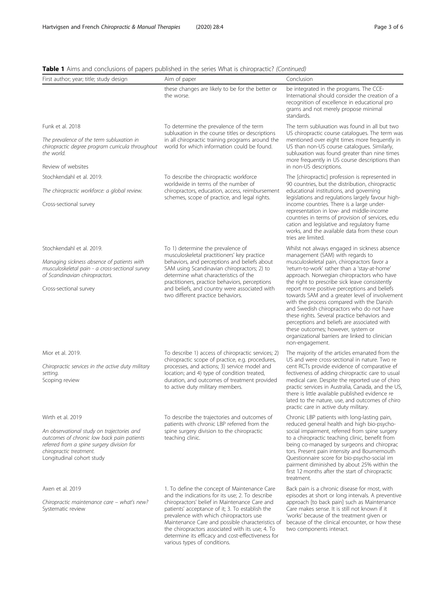| First author; year; title; study design                                                                                                                                                        | Aim of paper                                                                                                                                                                                                                                                                                                                             | Conclusion                                                                                                                                                                                                                                                                                                                                                                                                                                                                                                                                                                                                                              |  |
|------------------------------------------------------------------------------------------------------------------------------------------------------------------------------------------------|------------------------------------------------------------------------------------------------------------------------------------------------------------------------------------------------------------------------------------------------------------------------------------------------------------------------------------------|-----------------------------------------------------------------------------------------------------------------------------------------------------------------------------------------------------------------------------------------------------------------------------------------------------------------------------------------------------------------------------------------------------------------------------------------------------------------------------------------------------------------------------------------------------------------------------------------------------------------------------------------|--|
|                                                                                                                                                                                                | these changes are likely to be for the better or<br>the worse.                                                                                                                                                                                                                                                                           | be integrated in the programs. The CCE-<br>International should consider the creation of a<br>recognition of excellence in educational pro<br>grams and not merely propose minimal<br>standards.                                                                                                                                                                                                                                                                                                                                                                                                                                        |  |
| Funk et al. 2018                                                                                                                                                                               | To determine the prevalence of the term                                                                                                                                                                                                                                                                                                  | The term subluxation was found in all but two<br>US chiropractic course catalogues. The term was<br>mentioned over eight times more frequently in<br>US than non-US course catalogues. Similarly,<br>subluxation was found greater than nine times<br>more frequently in US course descriptions than                                                                                                                                                                                                                                                                                                                                    |  |
| The prevalence of the term subluxation in<br>chiropractic degree program curricula throughout<br>the world.                                                                                    | subluxation in the course titles or descriptions<br>in all chiropractic training programs around the<br>world for which information could be found.                                                                                                                                                                                      |                                                                                                                                                                                                                                                                                                                                                                                                                                                                                                                                                                                                                                         |  |
| Review of websites                                                                                                                                                                             |                                                                                                                                                                                                                                                                                                                                          | in non-US descriptions.                                                                                                                                                                                                                                                                                                                                                                                                                                                                                                                                                                                                                 |  |
| Stochkendahl et al. 2019.                                                                                                                                                                      | To describe the chiropractic workforce<br>worldwide in terms of the number of<br>chiropractors, education, access, reimbursement<br>schemes, scope of practice, and legal rights.                                                                                                                                                        | The [chiropractic] profession is represented in<br>90 countries, but the distribution, chiropractic                                                                                                                                                                                                                                                                                                                                                                                                                                                                                                                                     |  |
| The chiropractic workforce: a global review.                                                                                                                                                   |                                                                                                                                                                                                                                                                                                                                          | educational institutions, and governing<br>legislations and regulations largely favour high-                                                                                                                                                                                                                                                                                                                                                                                                                                                                                                                                            |  |
| Cross-sectional survey                                                                                                                                                                         |                                                                                                                                                                                                                                                                                                                                          | income countries. There is a large under-<br>representation in low- and middle-income<br>countries in terms of provision of services, edu<br>cation and legislative and regulatory frame<br>works, and the available data from these coun<br>tries are limited.                                                                                                                                                                                                                                                                                                                                                                         |  |
| Stochkendahl et al. 2019.                                                                                                                                                                      | To 1) determine the prevalence of                                                                                                                                                                                                                                                                                                        | Whilst not always engaged in sickness absence                                                                                                                                                                                                                                                                                                                                                                                                                                                                                                                                                                                           |  |
| Managing sickness absence of patients with<br>musculoskeletal pain - a cross-sectional survey<br>of Scandinavian chiropractors.<br>Cross-sectional survey                                      | musculoskeletal practitioners' key practice<br>behaviors, and perceptions and beliefs about<br>SAM using Scandinavian chiropractors; 2) to<br>determine what characteristics of the<br>practitioners, practice behaviors, perceptions<br>and beliefs, and country were associated with<br>two different practice behaviors.              | management (SAM) with regards to<br>musculoskeletal pain, chiropractors favor a<br>'return-to-work' rather than a 'stay-at-home'<br>approach. Norwegian chiropractors who have<br>the right to prescribe sick leave consistently<br>report more positive perceptions and beliefs<br>towards SAM and a greater level of involvement<br>with the process compared with the Danish<br>and Swedish chiropractors who do not have<br>these rights. Several practice behaviors and<br>perceptions and beliefs are associated with<br>these outcomes; however, system or<br>organizational barriers are linked to clinician<br>non-engagement. |  |
| Mior et al. 2019.<br>Chiropractic services in the active duty military<br>setting.<br>Scoping review                                                                                           | To describe 1) access of chiropractic services; 2)<br>chiropractic scope of practice, e.g. procedures,<br>processes, and actions; 3) service model and<br>location; and 4) type of condition treated,<br>duration, and outcomes of treatment provided<br>to active duty military members.                                                | The majority of the articles emanated from the<br>US and were cross-sectional in nature. Two re<br>cent RCTs provide evidence of comparative ef<br>fectiveness of adding chiropractic care to usual<br>medical care. Despite the reported use of chiro<br>practic services in Australia, Canada, and the US,<br>there is little available published evidence re<br>lated to the nature, use, and outcomes of chiro<br>practic care in active duty military.                                                                                                                                                                             |  |
| Wirth et al. 2019                                                                                                                                                                              | To describe the trajectories and outcomes of                                                                                                                                                                                                                                                                                             | Chronic LBP patients with long-lasting pain,                                                                                                                                                                                                                                                                                                                                                                                                                                                                                                                                                                                            |  |
| An observational study on trajectories and<br>outcomes of chronic low back pain patients<br>referred from a spine surgery division for<br>chiropractic treatment.<br>Longitudinal cohort study | patients with chronic LBP referred from the<br>spine surgery division to the chiropractic<br>teaching clinic.                                                                                                                                                                                                                            | reduced general health and high bio-psycho-<br>social impairment, referred from spine surgery<br>to a chiropractic teaching clinic, benefit from<br>being co-managed by surgeons and chiroprac<br>tors. Present pain intensity and Bournemouth<br>Questionnaire score for bio-psycho-social im<br>pairment diminished by about 25% within the<br>first 12 months after the start of chiropractic<br>treatment.                                                                                                                                                                                                                          |  |
| Axen et al. 2019                                                                                                                                                                               | 1. To define the concept of Maintenance Care<br>and the indications for its use; 2. To describe                                                                                                                                                                                                                                          | Back pain is a chronic disease for most, with<br>episodes at short or long intervals. A preventive                                                                                                                                                                                                                                                                                                                                                                                                                                                                                                                                      |  |
| Chiropractic maintenance care - what's new?<br>Systematic review                                                                                                                               | chiropractors' belief in Maintenance Care and<br>patients' acceptance of it; 3. To establish the<br>prevalence with which chiropractors use<br>Maintenance Care and possible characteristics of<br>the chiropractors associated with its use; 4. To<br>determine its efficacy and cost-effectiveness for<br>various types of conditions. | approach [to back pain] such as Maintenance<br>Care makes sense. It is still not known if it<br>'works' because of the treatment given or<br>because of the clinical encounter, or how these<br>two components interact.                                                                                                                                                                                                                                                                                                                                                                                                                |  |

Table 1 Aims and conclusions of papers published in the series What is chiropractic? (Continued)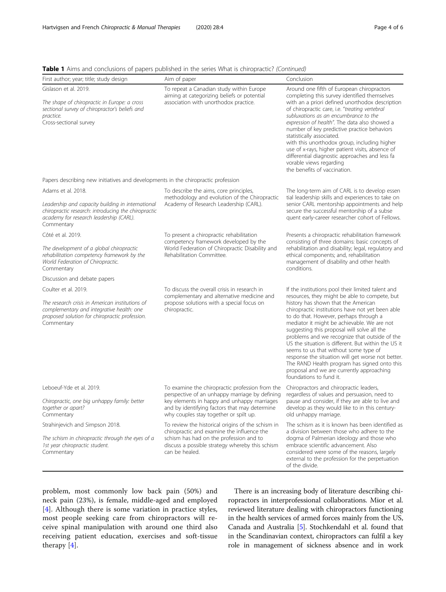Table 1 Aims and conclusions of papers published in the series What is chiropractic? (Continued)

| First author; year; title; study design                                                                                                                                                 | Aim of paper                                                                                                                                                                                                                                | Conclusion                                                                                                                                                                                                                                                                                                                                                                                                                                                                                                                                                                                                                                                          |  |
|-----------------------------------------------------------------------------------------------------------------------------------------------------------------------------------------|---------------------------------------------------------------------------------------------------------------------------------------------------------------------------------------------------------------------------------------------|---------------------------------------------------------------------------------------------------------------------------------------------------------------------------------------------------------------------------------------------------------------------------------------------------------------------------------------------------------------------------------------------------------------------------------------------------------------------------------------------------------------------------------------------------------------------------------------------------------------------------------------------------------------------|--|
| Gislason et al. 2019.<br>The shape of chiropractic in Europe: a cross<br>sectional survey of chiropractor's beliefs and<br>practice.<br>Cross-sectional survey                          | To repeat a Canadian study within Europe<br>aiming at categorizing beliefs or potential<br>association with unorthodox practice.                                                                                                            | Around one fifth of European chiropractors<br>completing this survey identified themselves<br>with an a priori defined unorthodox description<br>of chiropractic care, i.e. "treating vertebral<br>subluxations as an encumbrance to the<br>expression of health". The data also showed a<br>number of key predictive practice behaviors<br>statistically associated.<br>with this unorthodox group, including higher<br>use of x-rays, higher patient visits, absence of<br>differential diagnostic approaches and less fa<br>vorable views regarding<br>the benefits of vaccination.                                                                              |  |
| Papers describing new initiatives and developments in the chiropractic profession                                                                                                       |                                                                                                                                                                                                                                             |                                                                                                                                                                                                                                                                                                                                                                                                                                                                                                                                                                                                                                                                     |  |
| Adams et al. 2018.<br>Leadership and capacity building in international<br>chiropractic research: introducing the chiropractic<br>academy for research leadership (CARL).<br>Commentary | To describe the aims, core principles,<br>methodology and evolution of the Chiropractic<br>Academy of Research Leadership (CARL).                                                                                                           | The long-term aim of CARL is to develop essen<br>tial leadership skills and experiences to take on<br>senior CARL mentorship appointments and help<br>secure the successful mentorship of a subse<br>quent early-career researcher cohort of Fellows.                                                                                                                                                                                                                                                                                                                                                                                                               |  |
| Côté et al. 2019.<br>The development of a global chiropractic<br>rehabilitation competency framework by the<br>World Federation of Chiropractic.<br>Commentary                          | To present a chiropractic rehabilitation<br>competency framework developed by the<br>World Federation of Chiropractic Disability and<br>Rehabilitation Committee.                                                                           | Presents a chiropractic rehabilitation framework<br>consisting of three domains: basic concepts of<br>rehabilitation and disability; legal, regulatory and<br>ethical components; and, rehabilitation<br>management of disability and other health<br>conditions.                                                                                                                                                                                                                                                                                                                                                                                                   |  |
| Discussion and debate papers                                                                                                                                                            |                                                                                                                                                                                                                                             |                                                                                                                                                                                                                                                                                                                                                                                                                                                                                                                                                                                                                                                                     |  |
| Coulter et al. 2019.<br>The research crisis in American institutions of<br>complementary and integrative health: one<br>proposed solution for chiropractic profession.<br>Commentary    | To discuss the overall crisis in research in<br>complementary and alternative medicine and<br>propose solutions with a special focus on<br>chiropractic.                                                                                    | If the institutions pool their limited talent and<br>resources, they might be able to compete, but<br>history has shown that the American<br>chiropractic institutions have not yet been able<br>to do that. However, perhaps through a<br>mediator it might be achievable. We are not<br>suggesting this proposal will solve all the<br>problems and we recognize that outside of the<br>US the situation is different. But within the US it<br>seems to us that without some type of<br>response the situation will get worse not better.<br>The RAND Health program has signed onto this<br>proposal and we are currently approaching<br>foundations to fund it. |  |
| Leboeuf-Yde et al. 2019.<br>Chiropractic, one big unhappy family: better<br>together or apart?<br>Commentary                                                                            | To examine the chiropractic profession from the<br>perspective of an unhappy marriage by defining<br>key elements in happy and unhappy marriages<br>and by identifying factors that may determine<br>why couples stay together or spilt up. | Chiropractors and chiropractic leaders,<br>regardless of values and persuasion, need to<br>pause and consider, if they are able to live and<br>develop as they would like to in this century-<br>old unhappy marriage.                                                                                                                                                                                                                                                                                                                                                                                                                                              |  |
| Strahinjevich and Simpson 2018.<br>The schism in chiropractic through the eyes of a<br>1st year chiropractic student.<br>Commentary                                                     | To review the historical origins of the schism in<br>chiropractic and examine the influence the<br>schism has had on the profession and to<br>discuss a possible strategy whereby this schism<br>can be healed.                             | The schism as it is known has been identified as<br>a division between those who adhere to the<br>dogma of Palmerian ideology and those who<br>embrace scientific advancement. Also<br>considered were some of the reasons, largely<br>external to the profession for the perpetuation<br>of the divide.                                                                                                                                                                                                                                                                                                                                                            |  |

problem, most commonly low back pain (50%) and neck pain (23%), is female, middle-aged and employed [[4\]](#page-5-0). Although there is some variation in practice styles, most people seeking care from chiropractors will receive spinal manipulation with around one third also receiving patient education, exercises and soft-tissue therapy [[4](#page-5-0)].

There is an increasing body of literature describing chiropractors in interprofessional collaborations. Mior et al. reviewed literature dealing with chiropractors functioning in the health services of armed forces mainly from the US, Canada and Australia [\[5\]](#page-5-0). Stochkendahl et al. found that in the Scandinavian context, chiropractors can fulfil a key role in management of sickness absence and in work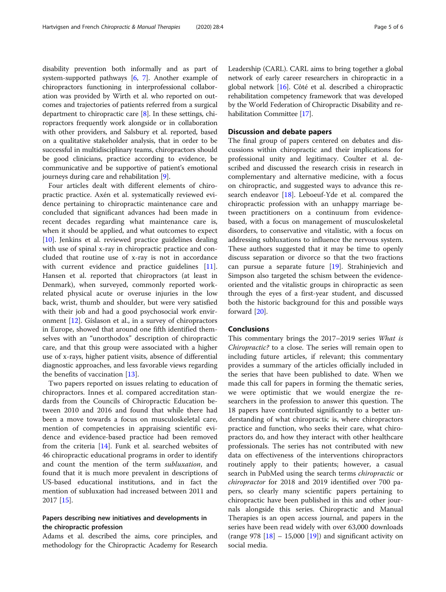disability prevention both informally and as part of system-supported pathways [\[6,](#page-5-0) [7](#page-5-0)]. Another example of chiropractors functioning in interprofessional collaboration was provided by Wirth et al. who reported on outcomes and trajectories of patients referred from a surgical department to chiropractic care [\[8\]](#page-5-0). In these settings, chiropractors frequently work alongside or in collaboration with other providers, and Salsbury et al. reported, based on a qualitative stakeholder analysis, that in order to be successful in multidisciplinary teams, chiropractors should be good clinicians, practice according to evidence, be communicative and be supportive of patient's emotional journeys during care and rehabilitation [[9](#page-5-0)].

Four articles dealt with different elements of chiropractic practice. Axén et al. systematically reviewed evidence pertaining to chiropractic maintenance care and concluded that significant advances had been made in recent decades regarding what maintenance care is, when it should be applied, and what outcomes to expect [[10\]](#page-5-0). Jenkins et al. reviewed practice guidelines dealing with use of spinal x-ray in chiropractic practice and concluded that routine use of x-ray is not in accordance with current evidence and practice guidelines [\[11](#page-5-0)]. Hansen et al. reported that chiropractors (at least in Denmark), when surveyed, commonly reported workrelated physical acute or overuse injuries in the low back, wrist, thumb and shoulder, but were very satisfied with their job and had a good psychosocial work environment [[12\]](#page-5-0). Gíslason et al., in a survey of chiropractors in Europe, showed that around one fifth identified themselves with an "unorthodox" description of chiropractic care, and that this group were associated with a higher use of x-rays, higher patient visits, absence of differential diagnostic approaches, and less favorable views regarding the benefits of vaccination [[13](#page-5-0)].

Two papers reported on issues relating to education of chiropractors. Innes et al. compared accreditation standards from the Councils of Chiropractic Education between 2010 and 2016 and found that while there had been a move towards a focus on musculoskeletal care, mention of competencies in appraising scientific evidence and evidence-based practice had been removed from the criteria [\[14](#page-5-0)]. Funk et al. searched websites of 46 chiropractic educational programs in order to identify and count the mention of the term subluxation, and found that it is much more prevalent in descriptions of US-based educational institutions, and in fact the mention of subluxation had increased between 2011 and 2017 [\[15](#page-5-0)].

## Papers describing new initiatives and developments in the chiropractic profession

Adams et al. described the aims, core principles, and methodology for the Chiropractic Academy for Research Leadership (CARL). CARL aims to bring together a global network of early career researchers in chiropractic in a global network [\[16\]](#page-5-0). Côté et al. described a chiropractic rehabilitation competency framework that was developed by the World Federation of Chiropractic Disability and rehabilitation Committee [\[17\]](#page-5-0).

## Discussion and debate papers

The final group of papers centered on debates and discussions within chiropractic and their implications for professional unity and legitimacy. Coulter et al. described and discussed the research crisis in research in complementary and alternative medicine, with a focus on chiropractic, and suggested ways to advance this research endeavor [[18](#page-5-0)]. Leboeuf-Yde et al. compared the chiropractic profession with an unhappy marriage between practitioners on a continuum from evidencebased, with a focus on management of musculoskeletal disorders, to conservative and vitalistic, with a focus on addressing subluxations to influence the nervous system. These authors suggested that it may be time to openly discuss separation or divorce so that the two fractions can pursue a separate future [[19\]](#page-5-0). Strahinjevich and Simpson also targeted the schism between the evidenceoriented and the vitalistic groups in chiropractic as seen through the eyes of a first-year student, and discussed both the historic background for this and possible ways forward [[20](#page-5-0)].

#### Conclusions

This commentary brings the 2017–2019 series What is Chiropractic? to a close. The series will remain open to including future articles, if relevant; this commentary provides a summary of the articles officially included in the series that have been published to date. When we made this call for papers in forming the thematic series, we were optimistic that we would energize the researchers in the profession to answer this question. The 18 papers have contributed significantly to a better understanding of what chiropractic is, where chiropractors practice and function, who seeks their care, what chiropractors do, and how they interact with other healthcare professionals. The series has not contributed with new data on effectiveness of the interventions chiropractors routinely apply to their patients; however, a casual search in PubMed using the search terms chiropractic or chiropractor for 2018 and 2019 identified over 700 papers, so clearly many scientific papers pertaining to chiropractic have been published in this and other journals alongside this series. Chiropractic and Manual Therapies is an open access journal, and papers in the series have been read widely with over 63,000 downloads (range 978  $[18] - 15,000$  $[18] - 15,000$  $[18] - 15,000$   $[19]$ ) and significant activity on social media.